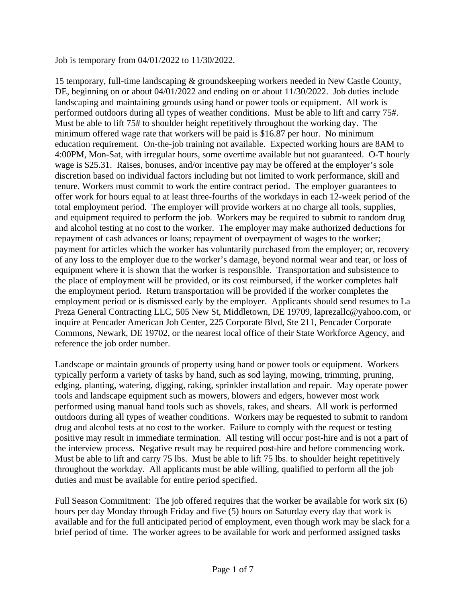Job is temporary from 04/01/2022 to 11/30/2022.

15 temporary, full-time landscaping & groundskeeping workers needed in New Castle County, DE, beginning on or about 04/01/2022 and ending on or about 11/30/2022. Job duties include landscaping and maintaining grounds using hand or power tools or equipment. All work is performed outdoors during all types of weather conditions. Must be able to lift and carry 75#. Must be able to lift 75# to shoulder height repetitively throughout the working day. The minimum offered wage rate that workers will be paid is \$16.87 per hour. No minimum education requirement. On-the-job training not available. Expected working hours are 8AM to 4:00PM, Mon-Sat, with irregular hours, some overtime available but not guaranteed. O-T hourly wage is \$25.31. Raises, bonuses, and/or incentive pay may be offered at the employer's sole discretion based on individual factors including but not limited to work performance, skill and tenure. Workers must commit to work the entire contract period. The employer guarantees to offer work for hours equal to at least three-fourths of the workdays in each 12-week period of the total employment period. The employer will provide workers at no charge all tools, supplies, and equipment required to perform the job. Workers may be required to submit to random drug and alcohol testing at no cost to the worker. The employer may make authorized deductions for repayment of cash advances or loans; repayment of overpayment of wages to the worker; payment for articles which the worker has voluntarily purchased from the employer; or, recovery of any loss to the employer due to the worker's damage, beyond normal wear and tear, or loss of equipment where it is shown that the worker is responsible. Transportation and subsistence to the place of employment will be provided, or its cost reimbursed, if the worker completes half the employment period. Return transportation will be provided if the worker completes the employment period or is dismissed early by the employer. Applicants should send resumes to La Preza General Contracting LLC, 505 New St, Middletown, DE 19709, laprezallc@yahoo.com, or inquire at Pencader American Job Center, 225 Corporate Blvd, Ste 211, Pencader Corporate Commons, Newark, DE 19702, or the nearest local office of their State Workforce Agency, and reference the job order number.

Landscape or maintain grounds of property using hand or power tools or equipment. Workers typically perform a variety of tasks by hand, such as sod laying, mowing, trimming, pruning, edging, planting, watering, digging, raking, sprinkler installation and repair. May operate power tools and landscape equipment such as mowers, blowers and edgers, however most work performed using manual hand tools such as shovels, rakes, and shears. All work is performed outdoors during all types of weather conditions. Workers may be requested to submit to random drug and alcohol tests at no cost to the worker. Failure to comply with the request or testing positive may result in immediate termination. All testing will occur post-hire and is not a part of the interview process. Negative result may be required post-hire and before commencing work. Must be able to lift and carry 75 lbs. Must be able to lift 75 lbs. to shoulder height repetitively throughout the workday. All applicants must be able willing, qualified to perform all the job duties and must be available for entire period specified.

Full Season Commitment: The job offered requires that the worker be available for work six (6) hours per day Monday through Friday and five (5) hours on Saturday every day that work is available and for the full anticipated period of employment, even though work may be slack for a brief period of time. The worker agrees to be available for work and performed assigned tasks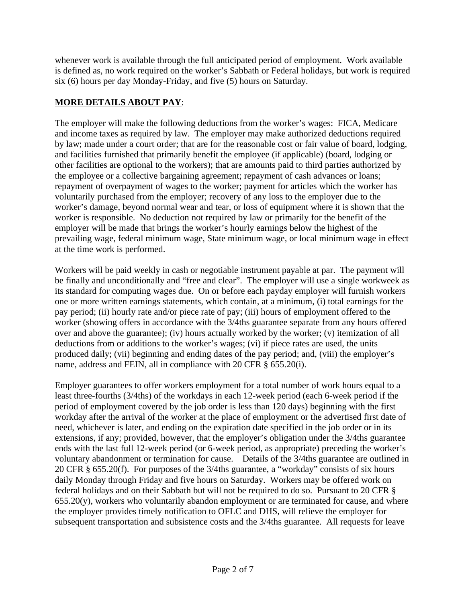whenever work is available through the full anticipated period of employment. Work available is defined as, no work required on the worker's Sabbath or Federal holidays, but work is required six (6) hours per day Monday-Friday, and five (5) hours on Saturday.

## **MORE DETAILS ABOUT PAY**:

The employer will make the following deductions from the worker's wages: FICA, Medicare and income taxes as required by law. The employer may make authorized deductions required by law; made under a court order; that are for the reasonable cost or fair value of board, lodging, and facilities furnished that primarily benefit the employee (if applicable) (board, lodging or other facilities are optional to the workers); that are amounts paid to third parties authorized by the employee or a collective bargaining agreement; repayment of cash advances or loans; repayment of overpayment of wages to the worker; payment for articles which the worker has voluntarily purchased from the employer; recovery of any loss to the employer due to the worker's damage, beyond normal wear and tear, or loss of equipment where it is shown that the worker is responsible. No deduction not required by law or primarily for the benefit of the employer will be made that brings the worker's hourly earnings below the highest of the prevailing wage, federal minimum wage, State minimum wage, or local minimum wage in effect at the time work is performed.

Workers will be paid weekly in cash or negotiable instrument payable at par. The payment will be finally and unconditionally and "free and clear". The employer will use a single workweek as its standard for computing wages due. On or before each payday employer will furnish workers one or more written earnings statements, which contain, at a minimum, (i) total earnings for the pay period; (ii) hourly rate and/or piece rate of pay; (iii) hours of employment offered to the worker (showing offers in accordance with the 3/4ths guarantee separate from any hours offered over and above the guarantee); (iv) hours actually worked by the worker; (v) itemization of all deductions from or additions to the worker's wages; (vi) if piece rates are used, the units produced daily; (vii) beginning and ending dates of the pay period; and, (viii) the employer's name, address and FEIN, all in compliance with 20 CFR § 655.20(i).

Employer guarantees to offer workers employment for a total number of work hours equal to a least three-fourths (3/4ths) of the workdays in each 12-week period (each 6-week period if the period of employment covered by the job order is less than 120 days) beginning with the first workday after the arrival of the worker at the place of employment or the advertised first date of need, whichever is later, and ending on the expiration date specified in the job order or in its extensions, if any; provided, however, that the employer's obligation under the 3/4ths guarantee ends with the last full 12-week period (or 6-week period, as appropriate) preceding the worker's voluntary abandonment or termination for cause. Details of the 3/4ths guarantee are outlined in 20 CFR § 655.20(f). For purposes of the 3/4ths guarantee, a "workday" consists of six hours daily Monday through Friday and five hours on Saturday. Workers may be offered work on federal holidays and on their Sabbath but will not be required to do so. Pursuant to 20 CFR §  $655.20(y)$ , workers who voluntarily abandon employment or are terminated for cause, and where the employer provides timely notification to OFLC and DHS, will relieve the employer for subsequent transportation and subsistence costs and the 3/4ths guarantee. All requests for leave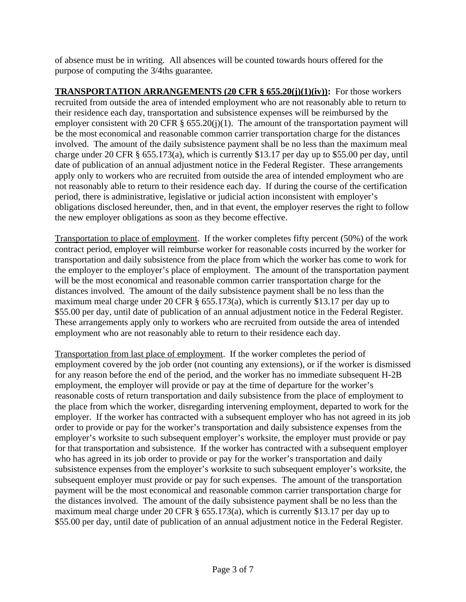of absence must be in writing. All absences will be counted towards hours offered for the purpose of computing the 3/4ths guarantee.

**TRANSPORTATION ARRANGEMENTS (20 CFR § 655.20(j)(1)(iv)):** For those workers recruited from outside the area of intended employment who are not reasonably able to return to their residence each day, transportation and subsistence expenses will be reimbursed by the employer consistent with 20 CFR §  $655.20(i)(1)$ . The amount of the transportation payment will be the most economical and reasonable common carrier transportation charge for the distances involved. The amount of the daily subsistence payment shall be no less than the maximum meal charge under 20 CFR § 655.173(a), which is currently \$13.17 per day up to \$55.00 per day, until date of publication of an annual adjustment notice in the Federal Register. These arrangements apply only to workers who are recruited from outside the area of intended employment who are not reasonably able to return to their residence each day. If during the course of the certification period, there is administrative, legislative or judicial action inconsistent with employer's obligations disclosed hereunder, then, and in that event, the employer reserves the right to follow the new employer obligations as soon as they become effective.

Transportation to place of employment. If the worker completes fifty percent (50%) of the work contract period, employer will reimburse worker for reasonable costs incurred by the worker for transportation and daily subsistence from the place from which the worker has come to work for the employer to the employer's place of employment. The amount of the transportation payment will be the most economical and reasonable common carrier transportation charge for the distances involved. The amount of the daily subsistence payment shall be no less than the maximum meal charge under 20 CFR § 655.173(a), which is currently \$13.17 per day up to \$55.00 per day, until date of publication of an annual adjustment notice in the Federal Register. These arrangements apply only to workers who are recruited from outside the area of intended employment who are not reasonably able to return to their residence each day.

Transportation from last place of employment. If the worker completes the period of employment covered by the job order (not counting any extensions), or if the worker is dismissed for any reason before the end of the period, and the worker has no immediate subsequent H-2B employment, the employer will provide or pay at the time of departure for the worker's reasonable costs of return transportation and daily subsistence from the place of employment to the place from which the worker, disregarding intervening employment, departed to work for the employer. If the worker has contracted with a subsequent employer who has not agreed in its job order to provide or pay for the worker's transportation and daily subsistence expenses from the employer's worksite to such subsequent employer's worksite, the employer must provide or pay for that transportation and subsistence. If the worker has contracted with a subsequent employer who has agreed in its job order to provide or pay for the worker's transportation and daily subsistence expenses from the employer's worksite to such subsequent employer's worksite, the subsequent employer must provide or pay for such expenses. The amount of the transportation payment will be the most economical and reasonable common carrier transportation charge for the distances involved. The amount of the daily subsistence payment shall be no less than the maximum meal charge under 20 CFR § 655.173(a), which is currently \$13.17 per day up to \$55.00 per day, until date of publication of an annual adjustment notice in the Federal Register.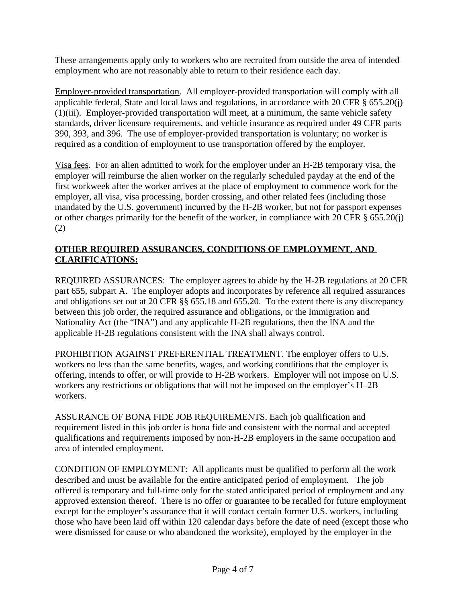These arrangements apply only to workers who are recruited from outside the area of intended employment who are not reasonably able to return to their residence each day.

Employer-provided transportation. All employer-provided transportation will comply with all applicable federal, State and local laws and regulations, in accordance with 20 CFR § 655.20(j) (1)(iii). Employer-provided transportation will meet, at a minimum, the same vehicle safety standards, driver licensure requirements, and vehicle insurance as required under 49 CFR parts 390, 393, and 396. The use of employer-provided transportation is voluntary; no worker is required as a condition of employment to use transportation offered by the employer.

Visa fees. For an alien admitted to work for the employer under an H-2B temporary visa, the employer will reimburse the alien worker on the regularly scheduled payday at the end of the first workweek after the worker arrives at the place of employment to commence work for the employer, all visa, visa processing, border crossing, and other related fees (including those mandated by the U.S. government) incurred by the H-2B worker, but not for passport expenses or other charges primarily for the benefit of the worker, in compliance with 20 CFR § 655.20(j) (2)

## **OTHER REQUIRED ASSURANCES, CONDITIONS OF EMPLOYMENT, AND CLARIFICATIONS:**

REQUIRED ASSURANCES: The employer agrees to abide by the H-2B regulations at 20 CFR part 655, subpart A. The employer adopts and incorporates by reference all required assurances and obligations set out at 20 CFR §§ 655.18 and 655.20. To the extent there is any discrepancy between this job order, the required assurance and obligations, or the Immigration and Nationality Act (the "INA") and any applicable H-2B regulations, then the INA and the applicable H-2B regulations consistent with the INA shall always control.

PROHIBITION AGAINST PREFERENTIAL TREATMENT. The employer offers to U.S. workers no less than the same benefits, wages, and working conditions that the employer is offering, intends to offer, or will provide to H-2B workers. Employer will not impose on U.S. workers any restrictions or obligations that will not be imposed on the employer's H–2B workers.

ASSURANCE OF BONA FIDE JOB REQUIREMENTS. Each job qualification and requirement listed in this job order is bona fide and consistent with the normal and accepted qualifications and requirements imposed by non-H-2B employers in the same occupation and area of intended employment.

CONDITION OF EMPLOYMENT: All applicants must be qualified to perform all the work described and must be available for the entire anticipated period of employment. The job offered is temporary and full-time only for the stated anticipated period of employment and any approved extension thereof. There is no offer or guarantee to be recalled for future employment except for the employer's assurance that it will contact certain former U.S. workers, including those who have been laid off within 120 calendar days before the date of need (except those who were dismissed for cause or who abandoned the worksite), employed by the employer in the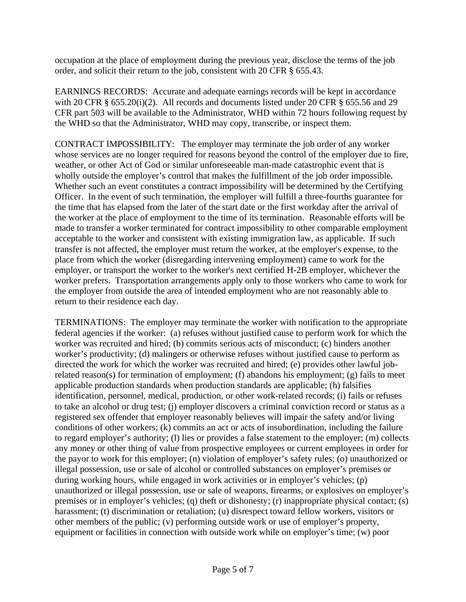occupation at the place of employment during the previous year, disclose the terms of the job order, and solicit their return to the job, consistent with 20 CFR § 655.43.

EARNINGS RECORDS: Accurate and adequate earnings records will be kept in accordance with 20 CFR § 655.20(i)(2). All records and documents listed under 20 CFR § 655.56 and 29 CFR part 503 will be available to the Administrator, WHD within 72 hours following request by the WHD so that the Administrator, WHD may copy, transcribe, or inspect them.

CONTRACT IMPOSSIBILITY: The employer may terminate the job order of any worker whose services are no longer required for reasons beyond the control of the employer due to fire, weather, or other Act of God or similar unforeseeable man-made catastrophic event that is wholly outside the employer's control that makes the fulfillment of the job order impossible. Whether such an event constitutes a contract impossibility will be determined by the Certifying Officer. In the event of such termination, the employer will fulfill a three-fourths guarantee for the time that has elapsed from the later of the start date or the first workday after the arrival of the worker at the place of employment to the time of its termination. Reasonable efforts will be made to transfer a worker terminated for contract impossibility to other comparable employment acceptable to the worker and consistent with existing immigration law, as applicable. If such transfer is not affected, the employer must return the worker, at the employer's expense, to the place from which the worker (disregarding intervening employment) came to work for the employer, or transport the worker to the worker's next certified H-2B employer, whichever the worker prefers. Transportation arrangements apply only to those workers who came to work for the employer from outside the area of intended employment who are not reasonably able to return to their residence each day.

TERMINATIONS: The employer may terminate the worker with notification to the appropriate federal agencies if the worker: (a) refuses without justified cause to perform work for which the worker was recruited and hired; (b) commits serious acts of misconduct; (c) hinders another worker's productivity; (d) malingers or otherwise refuses without justified cause to perform as directed the work for which the worker was recruited and hired; (e) provides other lawful jobrelated reason(s) for termination of employment; (f) abandons his employment; (g) fails to meet applicable production standards when production standards are applicable; (h) falsifies identification, personnel, medical, production, or other work-related records; (i) fails or refuses to take an alcohol or drug test; (j) employer discovers a criminal conviction record or status as a registered sex offender that employer reasonably believes will impair the safety and/or living conditions of other workers; (k) commits an act or acts of insubordination, including the failure to regard employer's authority; (l) lies or provides a false statement to the employer; (m) collects any money or other thing of value from prospective employees or current employees in order for the payor to work for this employer; (n) violation of employer's safety rules; (o) unauthorized or illegal possession, use or sale of alcohol or controlled substances on employer's premises or during working hours, while engaged in work activities or in employer's vehicles; (p) unauthorized or illegal possession, use or sale of weapons, firearms, or explosives on employer's premises or in employer's vehicles; (q) theft or dishonesty; (r) inappropriate physical contact; (s) harassment; (t) discrimination or retaliation; (u) disrespect toward fellow workers, visitors or other members of the public; (v) performing outside work or use of employer's property, equipment or facilities in connection with outside work while on employer's time; (w) poor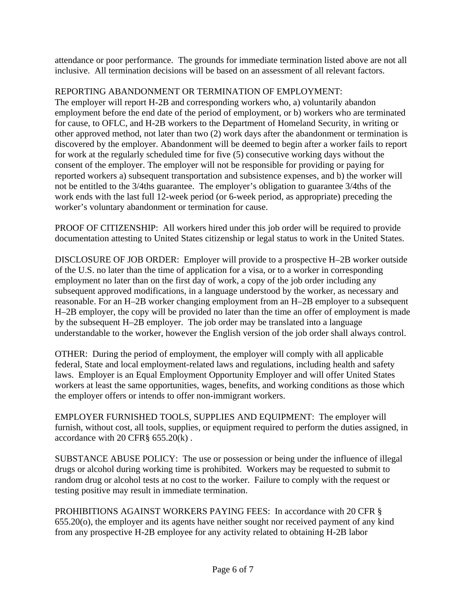attendance or poor performance. The grounds for immediate termination listed above are not all inclusive. All termination decisions will be based on an assessment of all relevant factors.

## REPORTING ABANDONMENT OR TERMINATION OF EMPLOYMENT:

The employer will report H-2B and corresponding workers who, a) voluntarily abandon employment before the end date of the period of employment, or b) workers who are terminated for cause, to OFLC, and H-2B workers to the Department of Homeland Security, in writing or other approved method, not later than two (2) work days after the abandonment or termination is discovered by the employer. Abandonment will be deemed to begin after a worker fails to report for work at the regularly scheduled time for five (5) consecutive working days without the consent of the employer. The employer will not be responsible for providing or paying for reported workers a) subsequent transportation and subsistence expenses, and b) the worker will not be entitled to the 3/4ths guarantee. The employer's obligation to guarantee 3/4ths of the work ends with the last full 12-week period (or 6-week period, as appropriate) preceding the worker's voluntary abandonment or termination for cause.

PROOF OF CITIZENSHIP: All workers hired under this job order will be required to provide documentation attesting to United States citizenship or legal status to work in the United States.

DISCLOSURE OF JOB ORDER: Employer will provide to a prospective H–2B worker outside of the U.S. no later than the time of application for a visa, or to a worker in corresponding employment no later than on the first day of work, a copy of the job order including any subsequent approved modifications, in a language understood by the worker, as necessary and reasonable. For an H–2B worker changing employment from an H–2B employer to a subsequent H–2B employer, the copy will be provided no later than the time an offer of employment is made by the subsequent H–2B employer. The job order may be translated into a language understandable to the worker, however the English version of the job order shall always control.

OTHER: During the period of employment, the employer will comply with all applicable federal, State and local employment-related laws and regulations, including health and safety laws. Employer is an Equal Employment Opportunity Employer and will offer United States workers at least the same opportunities, wages, benefits, and working conditions as those which the employer offers or intends to offer non-immigrant workers.

EMPLOYER FURNISHED TOOLS, SUPPLIES AND EQUIPMENT: The employer will furnish, without cost, all tools, supplies, or equipment required to perform the duties assigned, in accordance with 20 CFR§ 655.20(k) .

SUBSTANCE ABUSE POLICY: The use or possession or being under the influence of illegal drugs or alcohol during working time is prohibited. Workers may be requested to submit to random drug or alcohol tests at no cost to the worker. Failure to comply with the request or testing positive may result in immediate termination.

PROHIBITIONS AGAINST WORKERS PAYING FEES: In accordance with 20 CFR § 655.20(o), the employer and its agents have neither sought nor received payment of any kind from any prospective H-2B employee for any activity related to obtaining H-2B labor